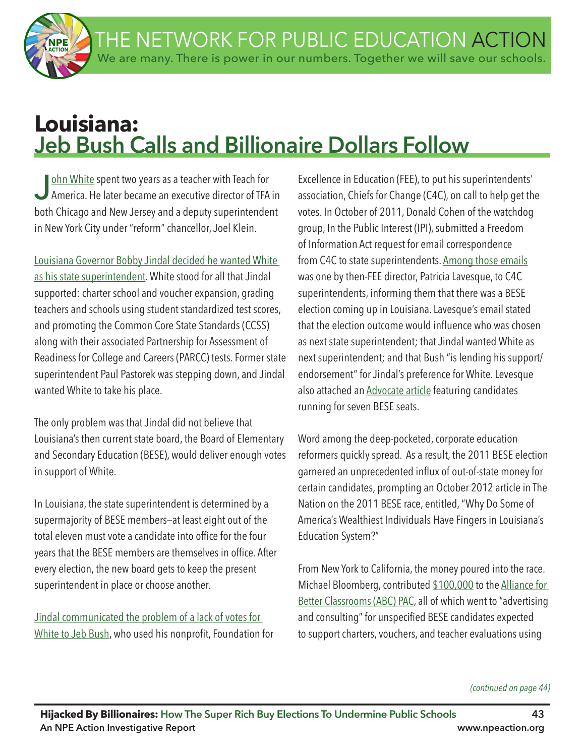

# **Louisiana: Jeb Bush Calls and Billionaire Dollars Follow**

John White spent two years as a teacher with Teach for<br>America. He later became an executive director of TFA in both Chicago and New Jersey and a deputy superintendent in New York City under "reform" chancellor, Joel Klein.

Louisiana Governor Bobby Jindal decided he wanted White as his state superintendent. White stood for all that Jindal supported: charter school and voucher expansion, grading teachers and schools using student standardized test scores, and promoting the Common Core State Standards (CCSS) along with their associated Partnership for Assessment of Readiness for College and Careers (PARCC) tests. Former state superintendent Paul Pastorek was stepping down, and Jindal wanted White to take his place.

The only problem was that Jindal did not believe that Louisiana's then current state board, the Board of Elementary and Secondary Education (BESE), would deliver enough votes in support of White.

In Louisiana, the state superintendent is determined by a supermajority of BESE members—at least eight out of the total eleven must vote a candidate into office for the four years that the BESE members are themselves in office. After every election, the new board gets to keep the present superintendent in place or choose another.

Jindal communicated the problem of a lack of votes for White to Jeb Bush, who used his nonprofit, Foundation for

Excellence in Education (FEE), to put his superintendents' association, Chiefs for Change (C4C), on call to help get the votes. In October of 2011, Donald Cohen of the watchdog group, In the Public Interest (IPI), submitted a Freedom of Information Act request for email correspondence from C4C to state superintendents. Among those emails was one by then-FEE director, Patricia Lavesque, to C4C superintendents, informing them that there was a BESE election coming up in Louisiana. Lavesque's email stated that the election outcome would infuence who was chosen as next state superintendent; that Jindal wanted White as next superintendent; and that Bush "is lending his support/ endorsement" for Jindal's preference for White. Levesque also attached an Advocate article featuring candidates running for seven BESE seats.

Word among the deep-pocketed, corporate education reformers quickly spread. As a result, the 2011 BESE election garnered an unprecedented infux of out-of-state money for certain candidates, prompting an October 2012 article in The Nation on the 2011 BESE race, entitled, "Why Do Some of America's Wealthiest Individuals Have Fingers in Louisiana's Education System?"

From New York to California, the money poured into the race. Michael Bloomberg, contributed \$100,000 to the Alliance for Better Classrooms (ABC) PAC, all of which went to "advertising and consulting" for unspecifed BESE candidates expected to support charters, vouchers, and teacher evaluations using

*(continued on page 44)*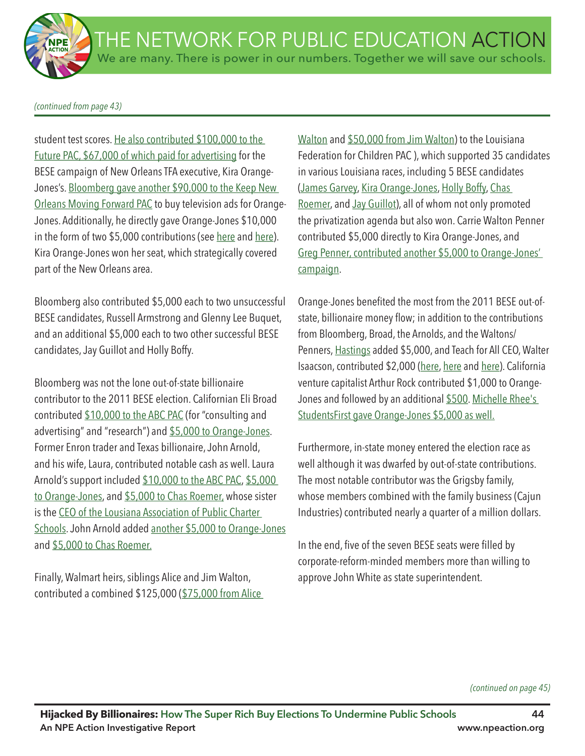*(continued from page 43)*

student test scores. He also contributed \$100,000 to the Future PAC, \$67,000 of which paid for advertising for the BESE campaign of New Orleans TFA executive, Kira Orange-Jones's. Bloomberg gave another \$90,000 to the Keep New Orleans Moving Forward PAC to buy television ads for Orange-Jones. Additionally, he directly gave Orange-Jones \$10,000 in the form of two \$5,000 contributions (see here and here). Kira Orange-Jones won her seat, which strategically covered part of the New Orleans area.

Bloomberg also contributed \$5,000 each to two unsuccessful BESE candidates, Russell Armstrong and Glenny Lee Buquet, and an additional \$5,000 each to two other successful BESE candidates, Jay Guillot and Holly Boffy.

Bloomberg was not the lone out-of-state billionaire contributor to the 2011 BESE election. Californian Eli Broad contributed \$10,000 to the ABC PAC (for "consulting and advertising" and "research") and \$5,000 to Orange-Jones. Former Enron trader and Texas billionaire, John Arnold, and his wife, Laura, contributed notable cash as well. Laura Arnold's support included \$10,000 to the ABC PAC, \$5,000 to Orange-Jones, and \$5,000 to Chas Roemer, whose sister is the CEO of the Lousiana Association of Public Charter Schools. John Arnold added another \$5,000 to Orange-Jones and \$5,000 to Chas Roemer.

Finally, Walmart heirs, siblings Alice and Jim Walton, contributed a combined \$125,000 (\$75,000 from Alice Walton and \$50,000 from Jim Walton) to the Louisiana Federation for Children PAC ), which supported 35 candidates in various Louisiana races, including 5 BESE candidates (James Garvey, Kira Orange-Jones, Holly Boffy, Chas Roemer, and Jay Guillot), all of whom not only promoted the privatization agenda but also won. Carrie Walton Penner contributed \$5,000 directly to Kira Orange-Jones, and Greg Penner, contributed another \$5,000 to Orange-Jones' campaign.

Orange-Jones benefted the most from the 2011 BESE out-ofstate, billionaire money flow; in addition to the contributions from Bloomberg, Broad, the Arnolds, and the Waltons/ Penners, Hastings added \$5,000, and Teach for All CEO, Walter Isaacson, contributed \$2,000 (here, here and here). California venture capitalist Arthur Rock contributed \$1,000 to Orange-Jones and followed by an additional \$500. Michelle Rhee's StudentsFirst gave Orange-Jones \$5,000 as well.

Furthermore, in-state money entered the election race as well although it was dwarfed by out-of-state contributions. The most notable contributor was the Grigsby family, whose members combined with the family business (Cajun Industries) contributed nearly a quarter of a million dollars.

In the end, five of the seven BESE seats were filled by corporate-reform-minded members more than willing to approve John White as state superintendent.

*(continued on page 45)*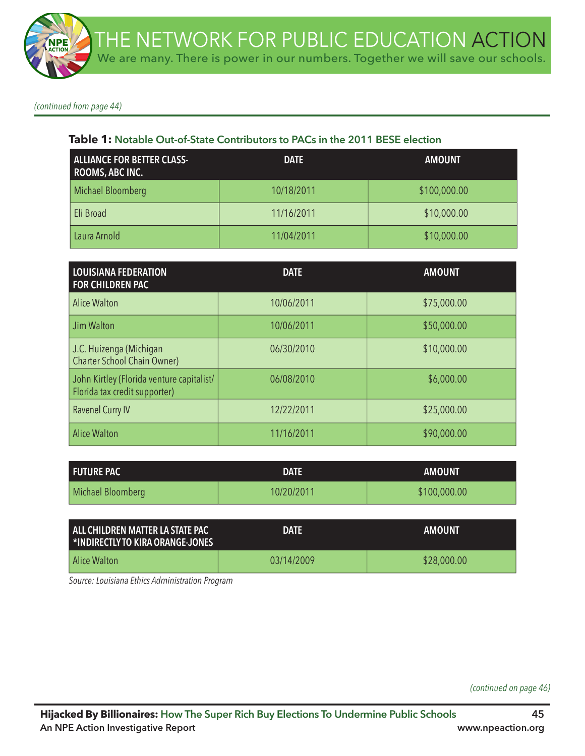*(continued from page 44)*

#### **Table 1: Notable Out-of-State Contributors to PACs in the 2011 BESE election**

| <b>ALLIANCE FOR BETTER CLASS-</b><br><b>ROOMS, ABC INC.</b> | <b>DATE</b> | <b>AMOUNT</b> |
|-------------------------------------------------------------|-------------|---------------|
| <b>Michael Bloomberg</b>                                    | 10/18/2011  | \$100,000.00  |
| Eli Broad                                                   | 11/16/2011  | \$10,000.00   |
| Laura Arnold                                                | 11/04/2011  | \$10,000.00   |

| <b>LOUISIANA FEDERATION</b><br>FOR CHILDREN PAC                            | <b>DATE</b> | <b>AMOUNT</b> |
|----------------------------------------------------------------------------|-------------|---------------|
| <b>Alice Walton</b>                                                        | 10/06/2011  | \$75,000.00   |
| Jim Walton                                                                 | 10/06/2011  | \$50,000.00   |
| J.C. Huizenga (Michigan<br><b>Charter School Chain Owner)</b>              | 06/30/2010  | \$10,000.00   |
| John Kirtley (Florida venture capitalist/<br>Florida tax credit supporter) | 06/08/2010  | \$6,000.00    |
| <b>Ravenel Curry IV</b>                                                    | 12/22/2011  | \$25,000.00   |
| <b>Alice Walton</b>                                                        | 11/16/2011  | \$90,000.00   |

| <b>FUTURE PAC</b> | <b>DATE</b> | <b>AMOUNT</b> |
|-------------------|-------------|---------------|
| Michael Bloomberg | 10/20/2011  | \$100,000.00  |

| LALL CHILDREN MATTER LA STATE PAC<br>I *INDIRECTLY TO KIRA ORANGE-JONES | <b>DATE</b> | AMOUNT      |
|-------------------------------------------------------------------------|-------------|-------------|
| Alice Walton                                                            | 03/14/2009  | \$28,000.00 |

*Source: Louisiana Ethics Administration Program* 

*(continued on page 46)*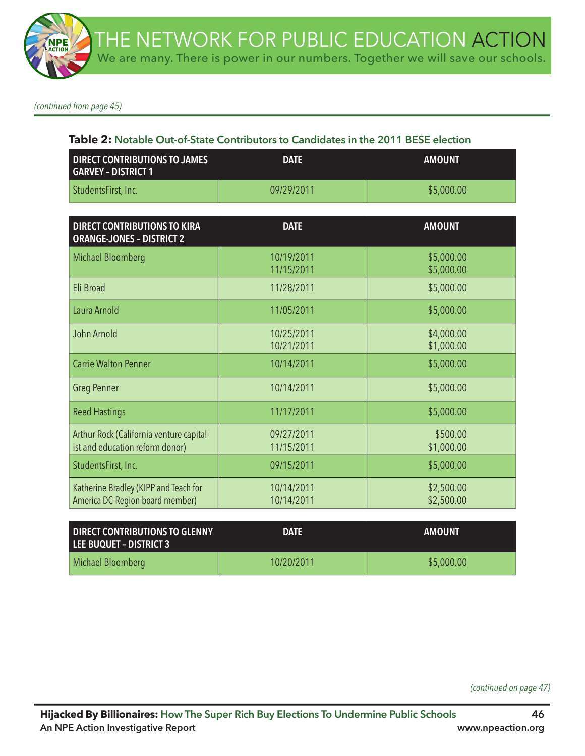*(continued from page 45)*

#### **Table 2: Notable Out-of-State Contributors to Candidates in the 2011 BESE election**

| <b>DIRECT CONTRIBUTIONS TO JAMES</b><br><b>GARVEY - DISTRICT 1</b> | <b>DATE</b> | <b>AMOUNT</b> |
|--------------------------------------------------------------------|-------------|---------------|
| StudentsFirst, Inc.                                                | 09/29/2011  | \$5,000.00    |

| <b>DIRECT CONTRIBUTIONS TO KIRA</b><br><b>ORANGE-JONES - DISTRICT 2</b>     | <b>DATE</b>              | <b>AMOUNT</b>            |
|-----------------------------------------------------------------------------|--------------------------|--------------------------|
| <b>Michael Bloomberg</b>                                                    | 10/19/2011<br>11/15/2011 | \$5,000.00<br>\$5,000.00 |
| Eli Broad                                                                   | 11/28/2011               | \$5,000.00               |
| Laura Arnold                                                                | 11/05/2011               | \$5,000.00               |
| John Arnold                                                                 | 10/25/2011<br>10/21/2011 | \$4,000.00<br>\$1,000.00 |
| <b>Carrie Walton Penner</b>                                                 | 10/14/2011               | \$5,000.00               |
| <b>Greg Penner</b>                                                          | 10/14/2011               | \$5,000.00               |
| <b>Reed Hastings</b>                                                        | 11/17/2011               | \$5,000.00               |
| Arthur Rock (California venture capital-<br>ist and education reform donor) | 09/27/2011<br>11/15/2011 | \$500.00<br>\$1,000.00   |
| StudentsFirst, Inc.                                                         | 09/15/2011               | \$5,000.00               |
| Katherine Bradley (KIPP and Teach for<br>America DC-Region board member)    | 10/14/2011<br>10/14/2011 | \$2,500.00<br>\$2,500.00 |

| <b>DIRECT CONTRIBUTIONS TO GLENNY</b><br>LEE BUQUET - DISTRICT 3 | <b>DATE</b> | <b>AMOUNT</b> |
|------------------------------------------------------------------|-------------|---------------|
| Michael Bloomberg                                                | 10/20/2011  | \$5,000.00    |

*(continued on page 47)*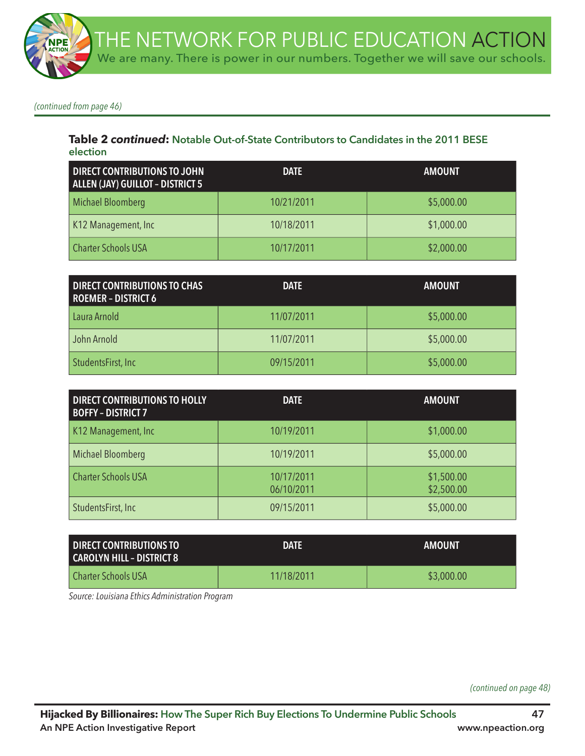*(continued from page 46)*

### **Table 2** *continued***: Notable Out-of-State Contributors to Candidates in the 2011 BESE election**

| <b>DIRECT CONTRIBUTIONS TO JOHN</b><br>ALLEN (JAY) GUILLOT - DISTRICT 5 | <b>DATE</b> | <b>AMOUNT</b> |
|-------------------------------------------------------------------------|-------------|---------------|
| Michael Bloomberg                                                       | 10/21/2011  | \$5,000.00    |
| K12 Management, Inc                                                     | 10/18/2011  | \$1,000.00    |
| <b>Charter Schools USA</b>                                              | 10/17/2011  | \$2,000.00    |

| <b>DIRECT CONTRIBUTIONS TO CHAS</b><br><b>ROEMER - DISTRICT 6</b> | <b>DATE</b> | <b>AMOUNT</b> |
|-------------------------------------------------------------------|-------------|---------------|
| Laura Arnold                                                      | 11/07/2011  | \$5,000.00    |
| John Arnold                                                       | 11/07/2011  | \$5,000.00    |
| StudentsFirst, Inc                                                | 09/15/2011  | \$5,000.00    |

| <b>DIRECT CONTRIBUTIONS TO HOLLY</b><br><b>BOFFY - DISTRICT 7</b> | <b>DATE</b>              | <b>AMOUNT</b>            |
|-------------------------------------------------------------------|--------------------------|--------------------------|
| K12 Management, Inc                                               | 10/19/2011               | \$1,000.00               |
| Michael Bloomberg                                                 | 10/19/2011               | \$5,000.00               |
| <b>Charter Schools USA</b>                                        | 10/17/2011<br>06/10/2011 | \$1,500.00<br>\$2,500.00 |
| StudentsFirst, Inc.                                               | 09/15/2011               | \$5,000.00               |

| <b>DIRECT CONTRIBUTIONS TO</b><br>CAROLYN HILL - DISTRICT 8 | <b>DATE</b> | <b>AMOUNT</b> |
|-------------------------------------------------------------|-------------|---------------|
| <b>Charter Schools USA</b>                                  | 11/18/2011  | \$3,000.00    |

*Source: Louisiana Ethics Administration Program* 

*(continued on page 48)*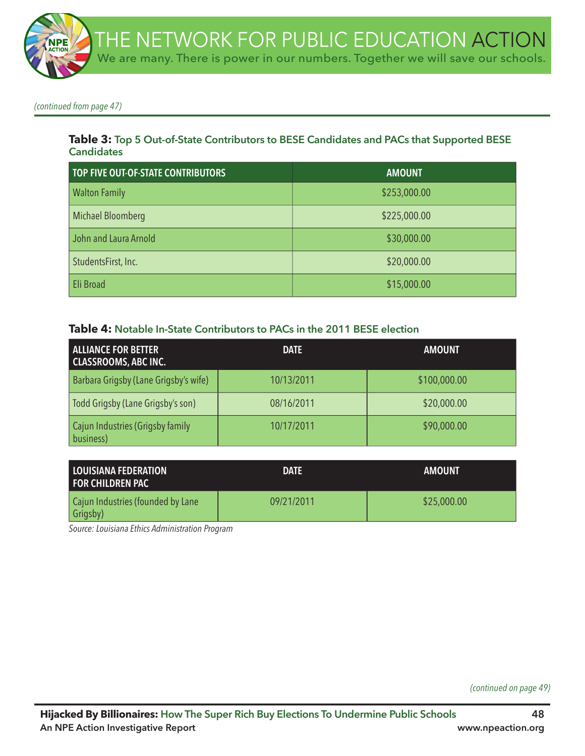

*(continued from page 47)*

#### **Table 3: Top 5 Out-of-State Contributors to BESE Candidates and PACs that Supported BESE Candidates**

| TOP FIVE OUT-OF-STATE CONTRIBUTORS | <b>AMOUNT</b> |
|------------------------------------|---------------|
| <b>Walton Family</b>               | \$253,000.00  |
| Michael Bloomberg                  | \$225,000.00  |
| John and Laura Arnold              | \$30,000.00   |
| StudentsFirst, Inc.                | \$20,000.00   |
| Eli Broad                          | \$15,000.00   |

#### **Table 4: Notable In-State Contributors to PACs in the 2011 BESE election**

| <b>ALLIANCE FOR BETTER</b><br><b>CLASSROOMS, ABC INC.</b> | <b>DATE</b> | <b>AMOUNT</b> |
|-----------------------------------------------------------|-------------|---------------|
| Barbara Grigsby (Lane Grigsby's wife)                     | 10/13/2011  | \$100,000.00  |
| Todd Grigsby (Lane Grigsby's son)                         | 08/16/2011  | \$20,000.00   |
| Cajun Industries (Grigsby family<br>business)             | 10/17/2011  | \$90,000.00   |

| I LOUISIANA FEDERATION<br>I FOR CHILDREN PAC  | <b>DATE</b> | <b>AMOUNT</b> |
|-----------------------------------------------|-------------|---------------|
| Cajun Industries (founded by Lane<br>Grigsby) | 09/21/2011  | \$25,000.00   |

*Source: Louisiana Ethics Administration Program* 

*(continued on page 49)*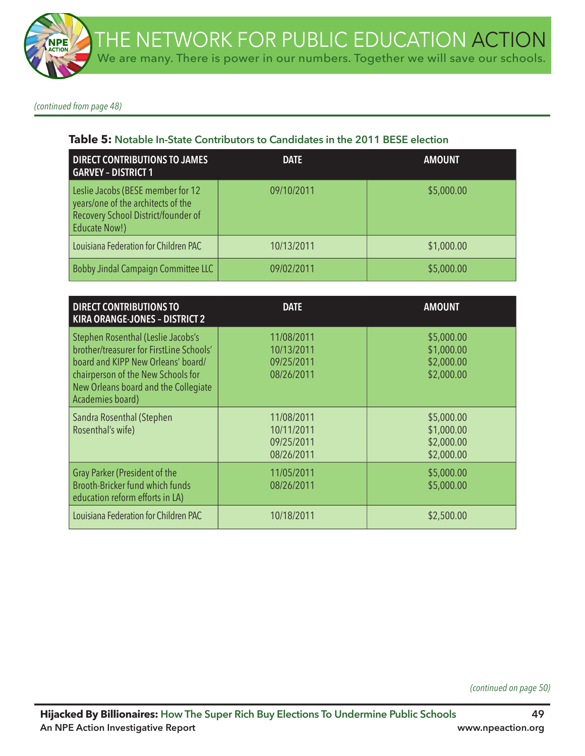*(continued from page 48)*

### **Table 5: Notable In-State Contributors to Candidates in the 2011 BESE election**

| <b>DIRECT CONTRIBUTIONS TO JAMES</b><br><b>GARVEY - DISTRICT 1</b>                                                                     | <b>DATE</b> | <b>AMOUNT</b> |
|----------------------------------------------------------------------------------------------------------------------------------------|-------------|---------------|
| Leslie Jacobs (BESE member for 12<br>years/one of the architects of the<br>Recovery School District/founder of<br><b>Educate Now!)</b> | 09/10/2011  | \$5,000.00    |
| Louisiana Federation for Children PAC                                                                                                  | 10/13/2011  | \$1,000.00    |
| Bobby Jindal Campaign Committee LLC                                                                                                    | 09/02/2011  | \$5,000.00    |

| <b>DIRECT CONTRIBUTIONS TO</b><br><b>KIRA ORANGE-JONES - DISTRICT 2</b>                                                                                                                                                | <b>DATE</b>                                          | <b>AMOUNT</b>                                        |
|------------------------------------------------------------------------------------------------------------------------------------------------------------------------------------------------------------------------|------------------------------------------------------|------------------------------------------------------|
| Stephen Rosenthal (Leslie Jacobs's<br>brother/treasurer for FirstLine Schools'<br>board and KIPP New Orleans' board/<br>chairperson of the New Schools for<br>New Orleans board and the Collegiate<br>Academies board) | 11/08/2011<br>10/13/2011<br>09/25/2011<br>08/26/2011 | \$5,000.00<br>\$1,000.00<br>\$2,000.00<br>\$2,000.00 |
| Sandra Rosenthal (Stephen<br>Rosenthal's wife)                                                                                                                                                                         | 11/08/2011<br>10/11/2011<br>09/25/2011<br>08/26/2011 | \$5,000.00<br>\$1,000.00<br>\$2,000.00<br>\$2,000.00 |
| Gray Parker (President of the<br>Brooth-Bricker fund which funds<br>education reform efforts in LA)                                                                                                                    | 11/05/2011<br>08/26/2011                             | \$5,000.00<br>\$5,000.00                             |
| Louisiana Federation for Children PAC                                                                                                                                                                                  | 10/18/2011                                           | \$2,500.00                                           |

*(continued on page 50)*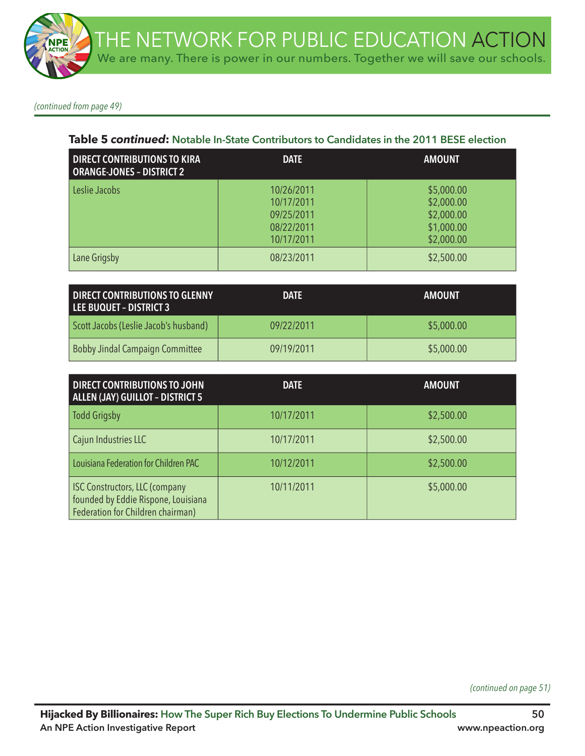*(continued from page 49)*

#### **Table 5** *continued***: Notable In-State Contributors to Candidates in the 2011 BESE election**

| <b>DIRECT CONTRIBUTIONS TO KIRA</b><br><b>ORANGE-JONES - DISTRICT 2</b> | <b>DATE</b>                                                        | <b>AMOUNT</b>                                                      |
|-------------------------------------------------------------------------|--------------------------------------------------------------------|--------------------------------------------------------------------|
| Leslie Jacobs                                                           | 10/26/2011<br>10/17/2011<br>09/25/2011<br>08/22/2011<br>10/17/2011 | \$5,000.00<br>\$2,000.00<br>\$2,000.00<br>\$1,000.00<br>\$2,000.00 |
| Lane Grigsby                                                            | 08/23/2011                                                         | \$2,500.00                                                         |

| DIRECT CONTRIBUTIONS TO GLENNY<br>LEE BUQUET - DISTRICT 3 | <b>DATE</b> | <b>AMOUNT</b> |
|-----------------------------------------------------------|-------------|---------------|
| Scott Jacobs (Leslie Jacob's husband)                     | 09/22/2011  | \$5,000.00    |
| Bobby Jindal Campaign Committee                           | 09/19/2011  | \$5,000.00    |

| <b>DIRECT CONTRIBUTIONS TO JOHN</b><br><b>ALLEN (JAY) GUILLOT - DISTRICT 5</b>                                    | <b>DATE</b> | <b>AMOUNT</b> |
|-------------------------------------------------------------------------------------------------------------------|-------------|---------------|
| <b>Todd Grigsby</b>                                                                                               | 10/17/2011  | \$2,500.00    |
| Cajun Industries LLC                                                                                              | 10/17/2011  | \$2,500.00    |
| Louisiana Federation for Children PAC                                                                             | 10/12/2011  | \$2,500.00    |
| <b>ISC Constructors, LLC (company</b><br>founded by Eddie Rispone, Louisiana<br>Federation for Children chairman) | 10/11/2011  | \$5,000.00    |

*(continued on page 51)*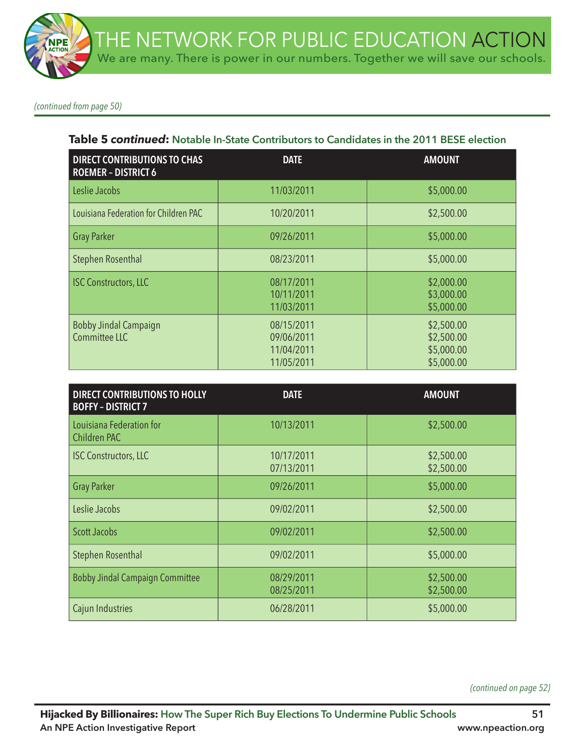*(continued from page 50)*

### **Table 5** *continued***: Notable In-State Contributors to Candidates in the 2011 BESE election**

| <b>DIRECT CONTRIBUTIONS TO CHAS</b><br><b>ROEMER - DISTRICT 6</b> | <b>DATE</b>                                          | <b>AMOUNT</b>                                        |
|-------------------------------------------------------------------|------------------------------------------------------|------------------------------------------------------|
| Leslie Jacobs                                                     | 11/03/2011                                           | \$5,000.00                                           |
| Louisiana Federation for Children PAC                             | 10/20/2011                                           | \$2,500.00                                           |
| <b>Gray Parker</b>                                                | 09/26/2011                                           | \$5,000.00                                           |
| <b>Stephen Rosenthal</b>                                          | 08/23/2011                                           | \$5,000.00                                           |
| <b>ISC Constructors, LLC</b>                                      | 08/17/2011<br>10/11/2011<br>11/03/2011               | \$2,000.00<br>\$3,000.00<br>\$5,000.00               |
| <b>Bobby Jindal Campaign</b><br>Committee LLC                     | 08/15/2011<br>09/06/2011<br>11/04/2011<br>11/05/2011 | \$2,500.00<br>\$2,500.00<br>\$5,000.00<br>\$5,000.00 |

| <b>DIRECT CONTRIBUTIONS TO HOLLY</b><br><b>BOFFY - DISTRICT 7</b> | <b>DATE</b>              | <b>AMOUNT</b>            |
|-------------------------------------------------------------------|--------------------------|--------------------------|
| Louisiana Federation for<br>Children PAC                          | 10/13/2011               | \$2,500.00               |
| <b>ISC Constructors, LLC</b>                                      | 10/17/2011<br>07/13/2011 | \$2,500.00<br>\$2,500.00 |
| <b>Gray Parker</b>                                                | 09/26/2011               | \$5,000.00               |
| Leslie Jacobs                                                     | 09/02/2011               | \$2,500.00               |
| <b>Scott Jacobs</b>                                               | 09/02/2011               | \$2,500.00               |
| <b>Stephen Rosenthal</b>                                          | 09/02/2011               | \$5,000.00               |
| <b>Bobby Jindal Campaign Committee</b>                            | 08/29/2011<br>08/25/2011 | \$2,500.00<br>\$2,500.00 |
| Cajun Industries                                                  | 06/28/2011               | \$5,000.00               |

*(continued on page 52)*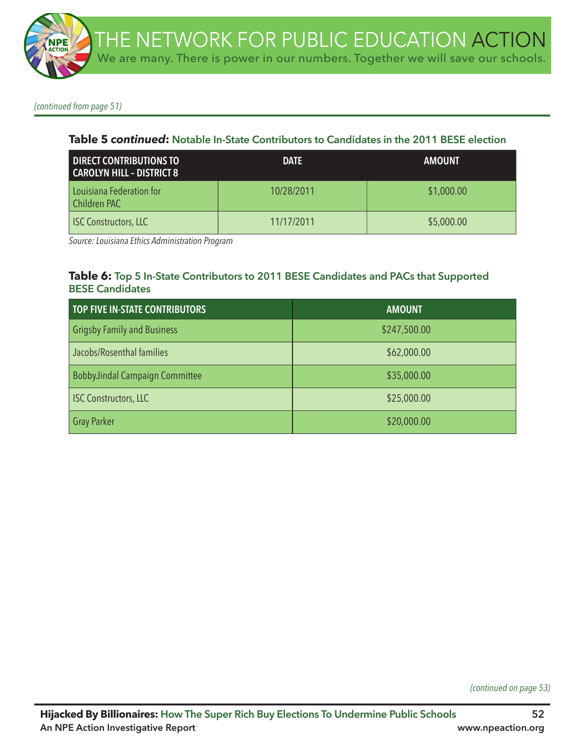*(continued from page 51)*

#### **Table 5** *continued***: Notable In-State Contributors to Candidates in the 2011 BESE election**

| <b>DIRECT CONTRIBUTIONS TO</b><br>CAROLYN HILL - DISTRICT 8 | <b>DATE</b> | <b>AMOUNT</b> |
|-------------------------------------------------------------|-------------|---------------|
| Louisiana Federation for<br>Children PAC                    | 10/28/2011  | \$1,000.00    |
| <b>ISC Constructors, LLC</b>                                | 11/17/2011  | \$5,000.00    |

*Source: Louisiana Ethics Administration Program* 

#### **Table 6: Top 5 In-State Contributors to 2011 BESE Candidates and PACs that Supported BESE Candidates**

| TOP FIVE IN-STATE CONTRIBUTORS     | <b>AMOUNT</b> |
|------------------------------------|---------------|
| <b>Grigsby Family and Business</b> | \$247,500.00  |
| Jacobs/Rosenthal families          | \$62,000.00   |
| BobbyJindal Campaign Committee     | \$35,000.00   |
| <b>ISC Constructors, LLC</b>       | \$25,000.00   |
| <b>Gray Parker</b>                 | \$20,000.00   |

*(continued on page 53)*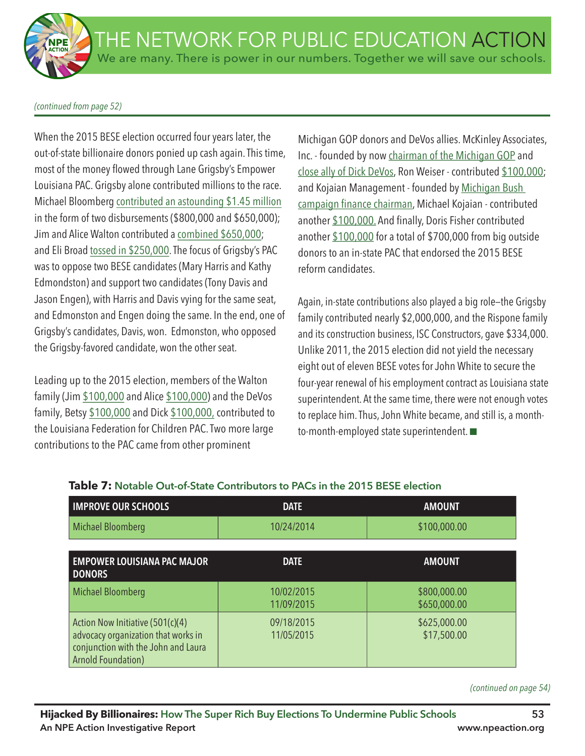#### *(continued from page 52)*

When the 2015 BESE election occurred four years later, the out-of-state billionaire donors ponied up cash again. This time, most of the money flowed through Lane Grigsby's Empower Louisiana PAC. Grigsby alone contributed millions to the race. Michael Bloomberg contributed an astounding \$1.45 million in the form of two disbursements (\$800,000 and \$650,000); Jim and Alice Walton contributed a combined \$650,000; and Eli Broad tossed in \$250,000. The focus of Grigsby's PAC was to oppose two BESE candidates (Mary Harris and Kathy Edmondston) and support two candidates (Tony Davis and Jason Engen), with Harris and Davis vying for the same seat, and Edmonston and Engen doing the same. In the end, one of Grigsby's candidates, Davis, won. Edmonston, who opposed the Grigsby-favored candidate, won the other seat.

Leading up to the 2015 election, members of the Walton family (Jim \$100,000 and Alice \$100,000) and the DeVos family, Betsy \$100,000 and Dick \$100,000, contributed to the Louisiana Federation for Children PAC. Two more large contributions to the PAC came from other prominent

Michigan GOP donors and DeVos allies. McKinley Associates, Inc. - founded by now chairman of the Michigan GOP and close ally of Dick DeVos, Ron Weiser - contributed \$100,000; and Kojaian Management - founded by Michigan Bush campaign finance chairman, Michael Kojaian - contributed another \$100,000. And finally, Doris Fisher contributed another \$100,000 for a total of \$700,000 from big outside donors to an in-state PAC that endorsed the 2015 BESE reform candidates.

Again, in-state contributions also played a big role—the Grigsby family contributed nearly \$2,000,000, and the Rispone family and its construction business, ISC Constructors, gave \$334,000. Unlike 2011, the 2015 election did not yield the necessary eight out of eleven BESE votes for John White to secure the four-year renewal of his employment contract as Louisiana state superintendent. At the same time, there were not enough votes to replace him. Thus, John White became, and still is, a monthto-month-employed state superintendent.  $\blacksquare$ 

| <b>IMPROVE OUR SCHOOLS</b>                                                                                                                  | <b>DATE</b>              | <b>AMOUNT</b>                |
|---------------------------------------------------------------------------------------------------------------------------------------------|--------------------------|------------------------------|
| Michael Bloomberg                                                                                                                           | 10/24/2014               | \$100,000.00                 |
|                                                                                                                                             |                          |                              |
| <b>EMPOWER LOUISIANA PAC MAJOR</b><br><b>DONORS</b>                                                                                         | <b>DATE</b>              | <b>AMOUNT</b>                |
| Michael Bloomberg                                                                                                                           | 10/02/2015<br>11/09/2015 | \$800,000.00<br>\$650,000.00 |
| Action Now Initiative (501(c)(4)<br>advocacy organization that works in<br>conjunction with the John and Laura<br><b>Arnold Foundation)</b> | 09/18/2015<br>11/05/2015 | \$625,000.00<br>\$17,500.00  |

# **Table 7: Notable Out-of-State Contributors to PACs in the 2015 BESE election**

*(continued on page 54)*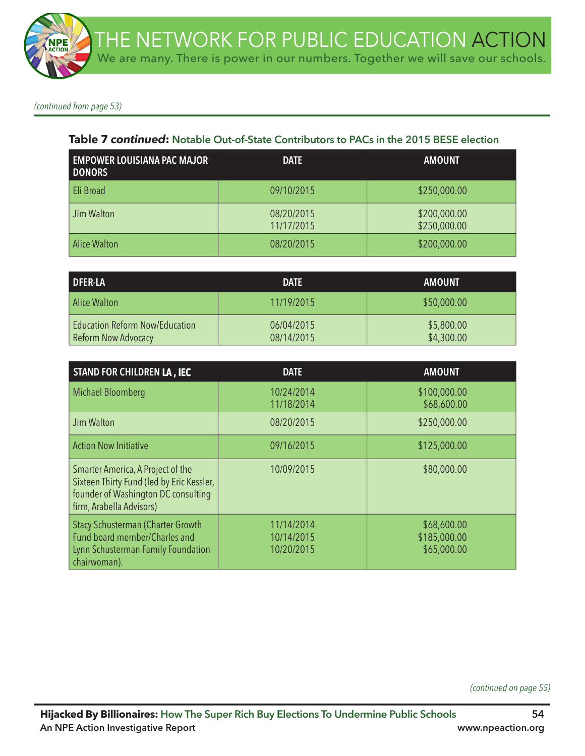*(continued from page 53)*

### **Table 7** *continued***: Notable Out-of-State Contributors to PACs in the 2015 BESE election**

| <b>EMPOWER LOUISIANA PAC MAJOR</b><br><b>DONORS</b> | <b>DATE</b>              | <b>AMOUNT</b>                |
|-----------------------------------------------------|--------------------------|------------------------------|
| Eli Broad                                           | 09/10/2015               | \$250,000.00                 |
| Jim Walton                                          | 08/20/2015<br>11/17/2015 | \$200,000.00<br>\$250,000.00 |
| <b>Alice Walton</b>                                 | 08/20/2015               | \$200,000.00                 |

| <b>DFER-LA</b>                                               | <b>DATE</b>              | <b>AMOUNT</b>            |
|--------------------------------------------------------------|--------------------------|--------------------------|
| Alice Walton                                                 | 11/19/2015               | \$50,000.00              |
| <b>Education Reform Now/Education</b><br>Reform Now Advocacy | 06/04/2015<br>08/14/2015 | \$5,800.00<br>\$4,300.00 |

| <b>STAND FOR CHILDREN LA, IEC</b>                                                                                                                 | <b>DATE</b>                            | <b>AMOUNT</b>                              |
|---------------------------------------------------------------------------------------------------------------------------------------------------|----------------------------------------|--------------------------------------------|
| Michael Bloomberg                                                                                                                                 | 10/24/2014<br>11/18/2014               | \$100,000.00<br>\$68,600.00                |
| Jim Walton                                                                                                                                        | 08/20/2015                             | \$250,000.00                               |
| <b>Action Now Initiative</b>                                                                                                                      | 09/16/2015                             | \$125,000.00                               |
| Smarter America, A Project of the<br>Sixteen Thirty Fund (led by Eric Kessler,<br>founder of Washington DC consulting<br>firm, Arabella Advisors) | 10/09/2015                             | \$80,000.00                                |
| <b>Stacy Schusterman (Charter Growth</b><br>Fund board member/Charles and<br>Lynn Schusterman Family Foundation<br>chairwoman).                   | 11/14/2014<br>10/14/2015<br>10/20/2015 | \$68,600.00<br>\$185,000.00<br>\$65,000.00 |

*(continued on page 55)*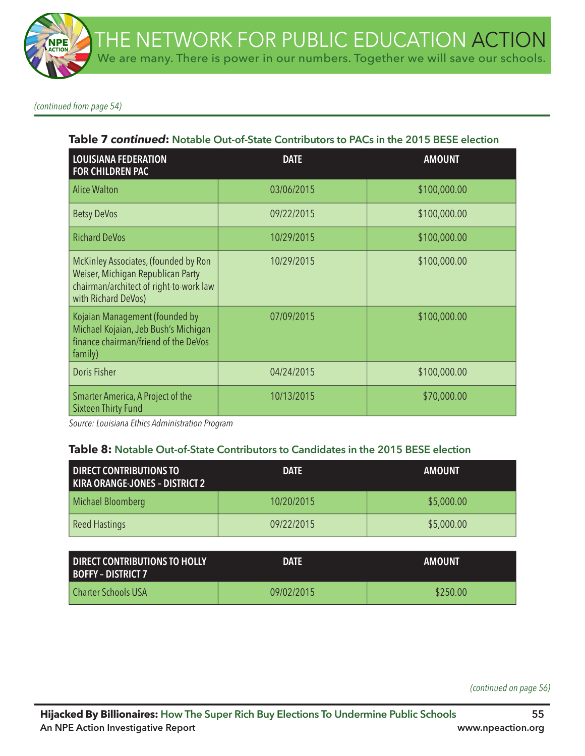*(continued from page 54)*

#### **Table 7** *continued***: Notable Out-of-State Contributors to PACs in the 2015 BESE election**

| <b>LOUISIANA FEDERATION</b><br><b>FOR CHILDREN PAC</b>                                                                                      | <b>DATE</b> | <b>AMOUNT</b> |
|---------------------------------------------------------------------------------------------------------------------------------------------|-------------|---------------|
| <b>Alice Walton</b>                                                                                                                         | 03/06/2015  | \$100,000.00  |
| <b>Betsy DeVos</b>                                                                                                                          | 09/22/2015  | \$100,000.00  |
| <b>Richard DeVos</b>                                                                                                                        | 10/29/2015  | \$100,000.00  |
| McKinley Associates, (founded by Ron<br>Weiser, Michigan Republican Party<br>chairman/architect of right-to-work law<br>with Richard DeVos) | 10/29/2015  | \$100,000.00  |
| Kojaian Management (founded by<br>Michael Kojaian, Jeb Bush's Michigan<br>finance chairman/friend of the DeVos<br>family)                   | 07/09/2015  | \$100,000.00  |
| <b>Doris Fisher</b>                                                                                                                         | 04/24/2015  | \$100,000.00  |
| Smarter America, A Project of the<br><b>Sixteen Thirty Fund</b>                                                                             | 10/13/2015  | \$70,000.00   |

*Source: Louisiana Ethics Administration Program* 

#### **Table 8: Notable Out-of-State Contributors to Candidates in the 2015 BESE election**

| <b>DIRECT CONTRIBUTIONS TO</b><br>KIRA ORANGE-JONES - DISTRICT 2 | <b>DATE</b> | <b>AMOUNT</b> |
|------------------------------------------------------------------|-------------|---------------|
| Michael Bloomberg                                                | 10/20/2015  | \$5,000.00    |
| <b>Reed Hastings</b>                                             | 09/22/2015  | \$5,000.00    |

| <b>I DIRECT CONTRIBUTIONS TO HOLLY</b><br><b>BOFFY - DISTRICT 7</b> | <b>DATE</b> | <b>AMOUNT</b> |
|---------------------------------------------------------------------|-------------|---------------|
| l Charter Schools USA                                               | 09/02/2015  | \$250.00      |

*(continued on page 56)*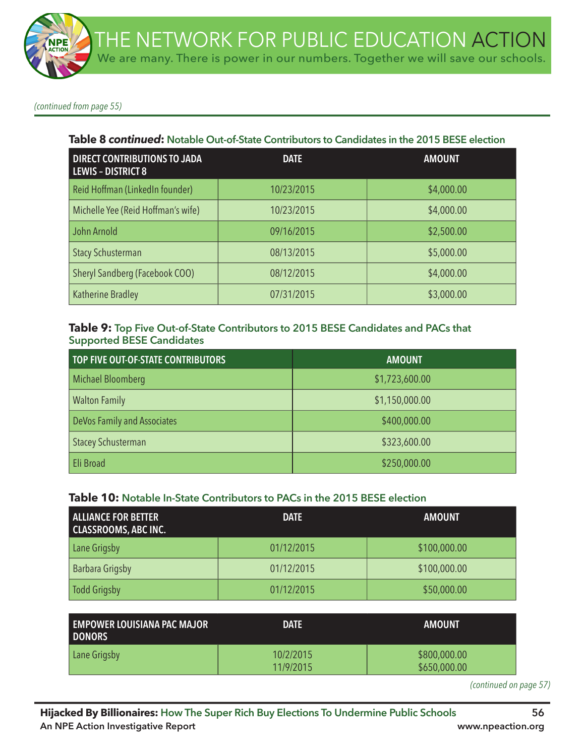*(continued from page 55)*

#### **Table 8** *continued***: Notable Out-of-State Contributors to Candidates in the 2015 BESE election**

| <b>DIRECT CONTRIBUTIONS TO JADA</b><br><b>LEWIS - DISTRICT 8</b> | <b>DATE</b> | <b>AMOUNT</b> |
|------------------------------------------------------------------|-------------|---------------|
| Reid Hoffman (LinkedIn founder)                                  | 10/23/2015  | \$4,000.00    |
| Michelle Yee (Reid Hoffman's wife)                               | 10/23/2015  | \$4,000.00    |
| John Arnold                                                      | 09/16/2015  | \$2,500.00    |
| <b>Stacy Schusterman</b>                                         | 08/13/2015  | \$5,000.00    |
| Sheryl Sandberg (Facebook COO)                                   | 08/12/2015  | \$4,000.00    |
| Katherine Bradley                                                | 07/31/2015  | \$3,000.00    |

## **Table 9: Top Five Out-of-State Contributors to 2015 BESE Candidates and PACs that Supported BESE Candidates**

| TOP FIVE OUT-OF-STATE CONTRIBUTORS | <b>AMOUNT</b>  |
|------------------------------------|----------------|
| <b>Michael Bloomberg</b>           | \$1,723,600.00 |
| <b>Walton Family</b>               | \$1,150,000.00 |
| DeVos Family and Associates        | \$400,000.00   |
| <b>Stacey Schusterman</b>          | \$323,600.00   |
| Eli Broad                          | \$250,000.00   |

### **Table 10: Notable In-State Contributors to PACs in the 2015 BESE election**

| <b>ALLIANCE FOR BETTER</b><br><b>CLASSROOMS, ABC INC.</b> | <b>DATE</b> | <b>AMOUNT</b> |
|-----------------------------------------------------------|-------------|---------------|
| Lane Grigsby                                              | 01/12/2015  | \$100,000.00  |
| <b>Barbara Grigsby</b>                                    | 01/12/2015  | \$100,000.00  |
| Todd Grigsby                                              | 01/12/2015  | \$50,000.00   |

| <b>EMPOWER LOUISIANA PAC MAJOR</b><br><b>DONORS</b> | <b>DATE</b>            | AMOUNT                       |
|-----------------------------------------------------|------------------------|------------------------------|
| Lane Grigsby                                        | 10/2/2015<br>11/9/2015 | \$800,000.00<br>\$650,000.00 |

*(continued on page 57)*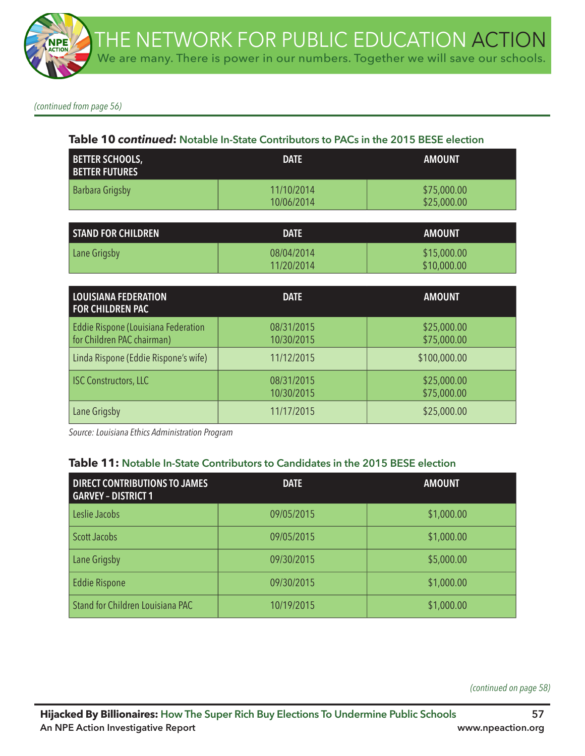*(continued from page 56)*

### **Table 10** *continued***: Notable In-State Contributors to PACs in the 2015 BESE election**

| <b>BETTER SCHOOLS,</b><br><b>BETTER FUTURES</b> | <b>DATE</b>              | <b>AMOUNT</b>              |
|-------------------------------------------------|--------------------------|----------------------------|
| Barbara Grigsby                                 | 11/10/2014<br>10/06/2014 | \$75,000.00<br>\$25,000.00 |
|                                                 |                          |                            |
| <b>STAND FOR CHILDREN</b>                       | <b>DATE</b>              | <b>AMOUNT</b>              |
| Lane Grigsby                                    | 08/04/2014               | \$15,000.00                |

11/20/2014

| <b>LOUISIANA FEDERATION</b><br><b>FOR CHILDREN PAC</b>            | <b>DATE</b>              | <b>AMOUNT</b>              |
|-------------------------------------------------------------------|--------------------------|----------------------------|
| Eddie Rispone (Louisiana Federation<br>for Children PAC chairman) | 08/31/2015<br>10/30/2015 | \$25,000.00<br>\$75,000.00 |
| Linda Rispone (Eddie Rispone's wife)                              | 11/12/2015               | \$100,000.00               |
| <b>ISC Constructors, LLC</b>                                      | 08/31/2015<br>10/30/2015 | \$25,000.00<br>\$75,000.00 |
| Lane Grigsby                                                      | 11/17/2015               | \$25,000.00                |

*Source: Louisiana Ethics Administration Program* 

### **Table 11: Notable In-State Contributors to Candidates in the 2015 BESE election**

| <b>DIRECT CONTRIBUTIONS TO JAMES</b><br><b>GARVEY - DISTRICT 1</b> | <b>DATE</b> | <b>AMOUNT</b> |
|--------------------------------------------------------------------|-------------|---------------|
| Leslie Jacobs                                                      | 09/05/2015  | \$1,000.00    |
| <b>Scott Jacobs</b>                                                | 09/05/2015  | \$1,000.00    |
| Lane Grigsby                                                       | 09/30/2015  | \$5,000.00    |
| <b>Eddie Rispone</b>                                               | 09/30/2015  | \$1,000.00    |
| Stand for Children Louisiana PAC                                   | 10/19/2015  | \$1,000.00    |

*(continued on page 58)*

\$10,000.00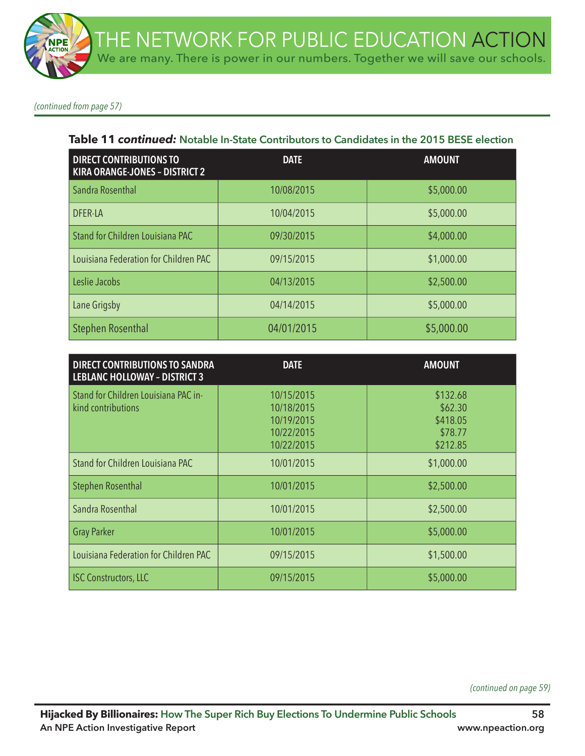*(continued from page 57)*

#### **Table 11** *continued:* **Notable In-State Contributors to Candidates in the 2015 BESE election**

| <b>DIRECT CONTRIBUTIONS TO</b><br><b>KIRA ORANGE-JONES - DISTRICT 2</b> | <b>DATE</b> | <b>AMOUNT</b> |
|-------------------------------------------------------------------------|-------------|---------------|
| Sandra Rosenthal                                                        | 10/08/2015  | \$5,000.00    |
| <b>DFER-LA</b>                                                          | 10/04/2015  | \$5,000.00    |
| Stand for Children Louisiana PAC                                        | 09/30/2015  | \$4,000.00    |
| Louisiana Federation for Children PAC                                   | 09/15/2015  | \$1,000.00    |
| Leslie Jacobs                                                           | 04/13/2015  | \$2,500.00    |
| Lane Grigsby                                                            | 04/14/2015  | \$5,000.00    |
| <b>Stephen Rosenthal</b>                                                | 04/01/2015  | \$5,000.00    |

| <b>DIRECT CONTRIBUTIONS TO SANDRA</b><br><b>LEBLANC HOLLOWAY - DISTRICT 3</b> | <b>DATE</b>                                                        | <b>AMOUNT</b>                                          |
|-------------------------------------------------------------------------------|--------------------------------------------------------------------|--------------------------------------------------------|
| Stand for Children Louisiana PAC in-<br>kind contributions                    | 10/15/2015<br>10/18/2015<br>10/19/2015<br>10/22/2015<br>10/22/2015 | \$132.68<br>\$62.30<br>\$418.05<br>\$78.77<br>\$212.85 |
| Stand for Children Louisiana PAC                                              | 10/01/2015                                                         | \$1,000.00                                             |
| <b>Stephen Rosenthal</b>                                                      | 10/01/2015                                                         | \$2,500.00                                             |
| Sandra Rosenthal                                                              | 10/01/2015                                                         | \$2,500.00                                             |
| <b>Gray Parker</b>                                                            | 10/01/2015                                                         | \$5,000.00                                             |
| Louisiana Federation for Children PAC                                         | 09/15/2015                                                         | \$1,500.00                                             |
| <b>ISC Constructors, LLC</b>                                                  | 09/15/2015                                                         | \$5,000.00                                             |

*(continued on page 59)*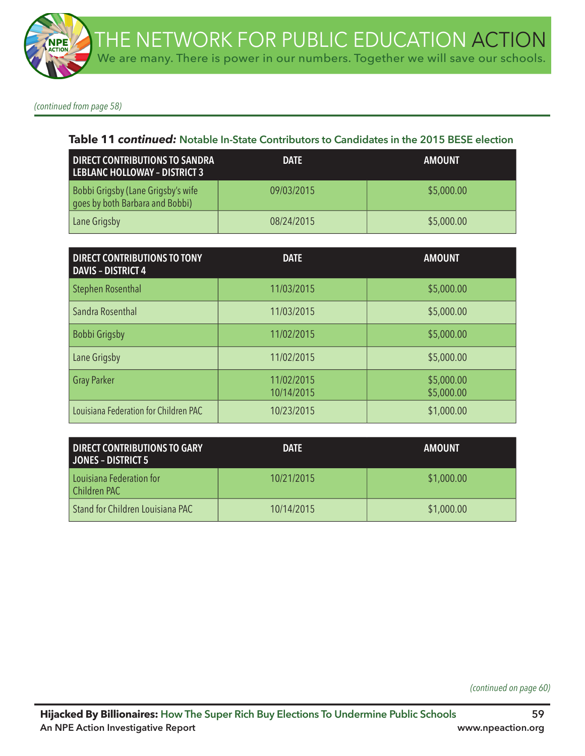*(continued from page 58)*

#### **Table 11** *continued:* **Notable In-State Contributors to Candidates in the 2015 BESE election**

| <b>DIRECT CONTRIBUTIONS TO SANDRA</b><br><b>LEBLANC HOLLOWAY - DISTRICT 3</b> | <b>DATE</b> | <b>AMOUNT</b> |
|-------------------------------------------------------------------------------|-------------|---------------|
| Bobbi Grigsby (Lane Grigsby's wife<br>goes by both Barbara and Bobbi)         | 09/03/2015  | \$5,000.00    |
| Lane Grigsby                                                                  | 08/24/2015  | \$5,000.00    |

| <b>DIRECT CONTRIBUTIONS TO TONY</b><br><b>DAVIS - DISTRICT 4</b> | <b>DATE</b>              | <b>AMOUNT</b>            |
|------------------------------------------------------------------|--------------------------|--------------------------|
| <b>Stephen Rosenthal</b>                                         | 11/03/2015               | \$5,000.00               |
| Sandra Rosenthal                                                 | 11/03/2015               | \$5,000.00               |
| Bobbi Grigsby                                                    | 11/02/2015               | \$5,000.00               |
| Lane Grigsby                                                     | 11/02/2015               | \$5,000.00               |
| <b>Gray Parker</b>                                               | 11/02/2015<br>10/14/2015 | \$5,000.00<br>\$5,000.00 |
| Louisiana Federation for Children PAC                            | 10/23/2015               | \$1,000.00               |

| <b>DIRECT CONTRIBUTIONS TO GARY</b><br><b>JONES - DISTRICT 5</b> | <b>DATE</b> | <b>AMOUNT</b> |
|------------------------------------------------------------------|-------------|---------------|
| Louisiana Federation for<br>Children PAC                         | 10/21/2015  | \$1,000.00    |
| Stand for Children Louisiana PAC                                 | 10/14/2015  | \$1,000.00    |

*(continued on page 60)*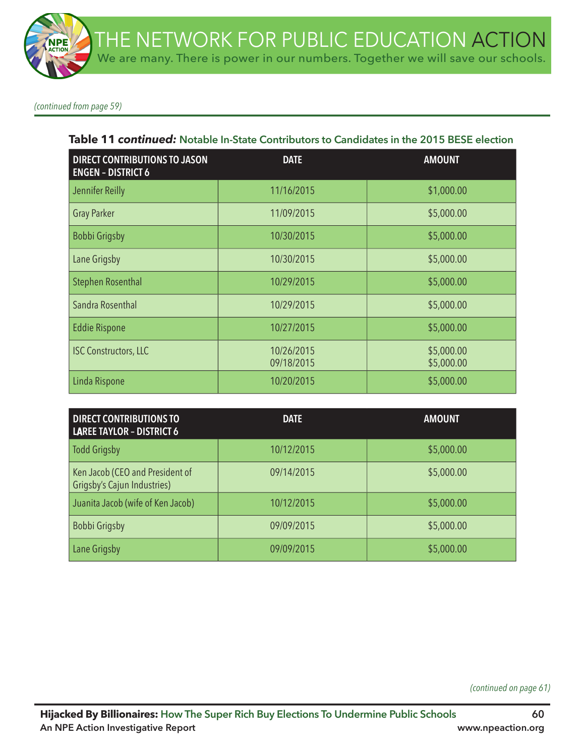*(continued from page 59)*

#### **Table 11** *continued:* **Notable In-State Contributors to Candidates in the 2015 BESE election**

| <b>DIRECT CONTRIBUTIONS TO JASON</b><br><b>ENGEN - DISTRICT 6</b> | <b>DATE</b>              | <b>AMOUNT</b>            |
|-------------------------------------------------------------------|--------------------------|--------------------------|
| Jennifer Reilly                                                   | 11/16/2015               | \$1,000.00               |
| <b>Gray Parker</b>                                                | 11/09/2015               | \$5,000.00               |
| Bobbi Grigsby                                                     | 10/30/2015               | \$5,000.00               |
| Lane Grigsby                                                      | 10/30/2015               | \$5,000.00               |
| <b>Stephen Rosenthal</b>                                          | 10/29/2015               | \$5,000.00               |
| Sandra Rosenthal                                                  | 10/29/2015               | \$5,000.00               |
| <b>Eddie Rispone</b>                                              | 10/27/2015               | \$5,000.00               |
| <b>ISC Constructors, LLC</b>                                      | 10/26/2015<br>09/18/2015 | \$5,000.00<br>\$5,000.00 |
| Linda Rispone                                                     | 10/20/2015               | \$5,000.00               |

| <b>DIRECT CONTRIBUTIONS TO</b><br><b>LAREE TAYLOR - DISTRICT 6</b> | <b>DATE</b> | <b>AMOUNT</b> |
|--------------------------------------------------------------------|-------------|---------------|
| <b>Todd Grigsby</b>                                                | 10/12/2015  | \$5,000.00    |
| Ken Jacob (CEO and President of<br>Grigsby's Cajun Industries)     | 09/14/2015  | \$5,000.00    |
| Juanita Jacob (wife of Ken Jacob)                                  | 10/12/2015  | \$5,000.00    |
| Bobbi Grigsby                                                      | 09/09/2015  | \$5,000.00    |
| Lane Grigsby                                                       | 09/09/2015  | \$5,000.00    |

*(continued on page 61)*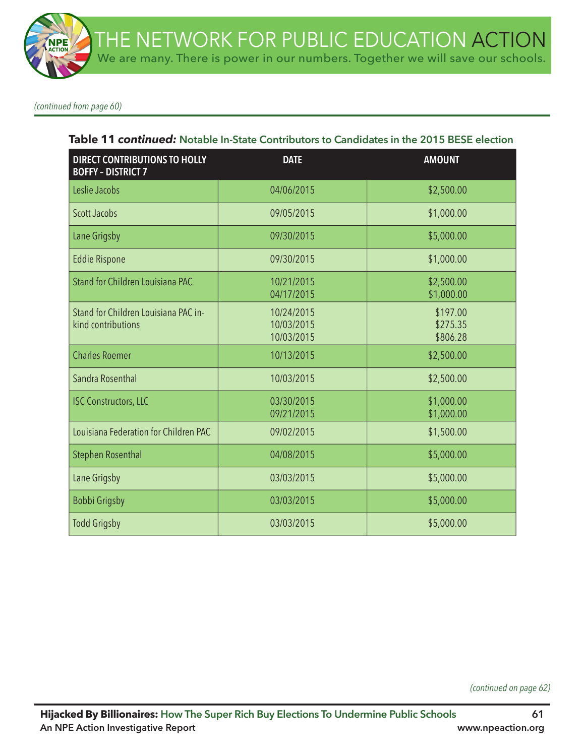*(continued from page 60)*

#### **Table 11** *continued:* **Notable In-State Contributors to Candidates in the 2015 BESE election**

| <b>DIRECT CONTRIBUTIONS TO HOLLY</b><br><b>BOFFY - DISTRICT 7</b> | <b>DATE</b>                            | <b>AMOUNT</b>                    |
|-------------------------------------------------------------------|----------------------------------------|----------------------------------|
| Leslie Jacobs                                                     | 04/06/2015                             | \$2,500.00                       |
| <b>Scott Jacobs</b>                                               | 09/05/2015                             | \$1,000.00                       |
| Lane Grigsby                                                      | 09/30/2015                             | \$5,000.00                       |
| <b>Eddie Rispone</b>                                              | 09/30/2015                             | \$1,000.00                       |
| Stand for Children Louisiana PAC                                  | 10/21/2015<br>04/17/2015               | \$2,500.00<br>\$1,000.00         |
| Stand for Children Louisiana PAC in-<br>kind contributions        | 10/24/2015<br>10/03/2015<br>10/03/2015 | \$197.00<br>\$275.35<br>\$806.28 |
| <b>Charles Roemer</b>                                             | 10/13/2015                             | \$2,500.00                       |
| Sandra Rosenthal                                                  | 10/03/2015                             | \$2,500.00                       |
| <b>ISC Constructors, LLC</b>                                      | 03/30/2015<br>09/21/2015               | \$1,000.00<br>\$1,000.00         |
| Louisiana Federation for Children PAC                             | 09/02/2015                             | \$1,500.00                       |
| <b>Stephen Rosenthal</b>                                          | 04/08/2015                             | \$5,000.00                       |
| Lane Grigsby                                                      | 03/03/2015                             | \$5,000.00                       |
| <b>Bobbi Grigsby</b>                                              | 03/03/2015                             | \$5,000.00                       |
| <b>Todd Grigsby</b>                                               | 03/03/2015                             | \$5,000.00                       |

*(continued on page 62)*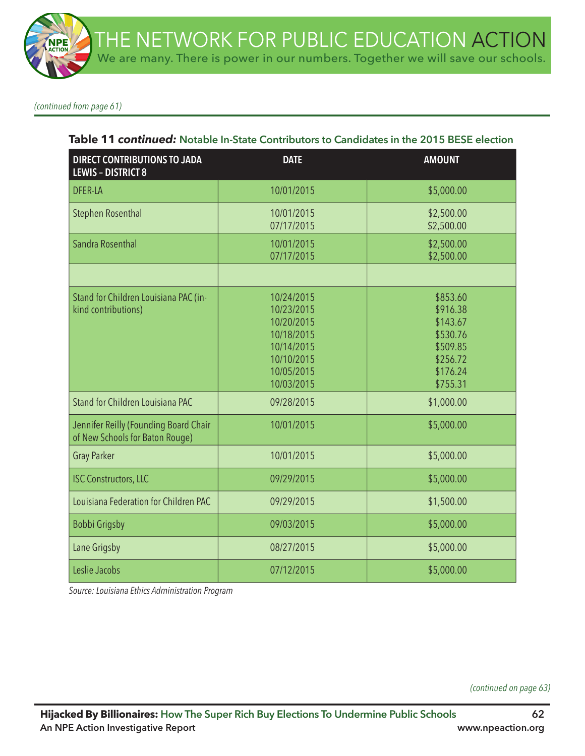*(continued from page 61)*

| Table 11 continued: Notable In-State Contributors to Candidates in the 2015 BESE election |
|-------------------------------------------------------------------------------------------|
|-------------------------------------------------------------------------------------------|

| <b>DIRECT CONTRIBUTIONS TO JADA</b><br><b>LEWIS - DISTRICT 8</b>         | <b>DATE</b>                                                                                                  | <b>AMOUNT</b>                                                                                |
|--------------------------------------------------------------------------|--------------------------------------------------------------------------------------------------------------|----------------------------------------------------------------------------------------------|
| <b>DFER-LA</b>                                                           | 10/01/2015                                                                                                   | \$5,000.00                                                                                   |
| <b>Stephen Rosenthal</b>                                                 | 10/01/2015<br>07/17/2015                                                                                     | \$2,500.00<br>\$2,500.00                                                                     |
| Sandra Rosenthal                                                         | 10/01/2015<br>07/17/2015                                                                                     | \$2,500.00<br>\$2,500.00                                                                     |
|                                                                          |                                                                                                              |                                                                                              |
| Stand for Children Louisiana PAC (in-<br>kind contributions)             | 10/24/2015<br>10/23/2015<br>10/20/2015<br>10/18/2015<br>10/14/2015<br>10/10/2015<br>10/05/2015<br>10/03/2015 | \$853.60<br>\$916.38<br>\$143.67<br>\$530.76<br>\$509.85<br>\$256.72<br>\$176.24<br>\$755.31 |
| Stand for Children Louisiana PAC                                         | 09/28/2015                                                                                                   | \$1,000.00                                                                                   |
| Jennifer Reilly (Founding Board Chair<br>of New Schools for Baton Rouge) | 10/01/2015                                                                                                   | \$5,000.00                                                                                   |
| <b>Gray Parker</b>                                                       | 10/01/2015                                                                                                   | \$5,000.00                                                                                   |
| <b>ISC Constructors, LLC</b>                                             | 09/29/2015                                                                                                   | \$5,000.00                                                                                   |
| Louisiana Federation for Children PAC                                    | 09/29/2015                                                                                                   | \$1,500.00                                                                                   |
| Bobbi Grigsby                                                            | 09/03/2015                                                                                                   | \$5,000.00                                                                                   |
| Lane Grigsby                                                             | 08/27/2015                                                                                                   | \$5,000.00                                                                                   |
| Leslie Jacobs                                                            | 07/12/2015                                                                                                   | \$5,000.00                                                                                   |

*Source: Louisiana Ethics Administration Program* 

*(continued on page 63)*